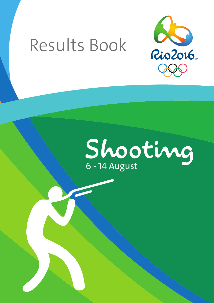# Results Book



# Shooting 6 - 14 August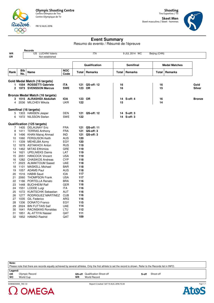

**Records**

FRI 12 AUG 2016

**Shooting** Tiro Esportivo / Tir **Skeet Men**

Skeet masculino / Skeet - hommes



### **Event Summary**

Resumo do evento / Résumé de l'épreuve

| WR<br>OR |              | 125 LUCHINI Valerio                             |                    |            | <b>ITA</b>     |       | 9 JUL 2014 WC    | Beijing (CHN) |                      |               |
|----------|--------------|-------------------------------------------------|--------------------|------------|----------------|-------|------------------|---------------|----------------------|---------------|
|          |              | Not established                                 |                    |            |                |       |                  |               |                      |               |
|          |              |                                                 |                    |            | Qualification  |       | <b>Semifinal</b> |               | <b>Medal Matches</b> |               |
| Rank     | Bib<br>No.   | <b>Name</b>                                     | <b>NOC</b><br>Code | Total      | Remarks        | Total | <b>Remarks</b>   | Total         | Remarks              |               |
|          |              | Gold Medal Match (16 targets)                   |                    |            |                |       |                  |               |                      |               |
|          |              | 1 1554 ROSSETTI Gabriele                        | <b>ITA</b>         | 121        | QS-off: 12     | 16    |                  | 16            |                      | Gold          |
|          |              | 2 1973 SVENSSON Marcus                          | <b>SWE</b>         | 123 OR     |                | 16    |                  | 15            |                      | <b>Silver</b> |
|          |              |                                                 |                    |            |                |       |                  |               |                      |               |
|          |              | <b>Bronze Medal Match (16 targets)</b>          |                    |            |                |       |                  |               |                      |               |
|          |              | 3 1515 ALRASHIDI Abdullah                       | <b>IOA</b>         | 123 OR     |                |       | 14 S-off: 4      | 16            |                      | <b>Bronze</b> |
|          |              | 4 2036 MILCHEV Mikola                           | <b>UKR</b>         | 122        |                | 15    |                  | 14            |                      |               |
|          |              |                                                 |                    |            |                |       |                  |               |                      |               |
|          |              | Semifinal (16 targets)                          |                    |            |                |       |                  |               |                      |               |
|          |              | 5 1303 HANSEN Jesper                            | DEN                |            | 121 QS-off: 12 |       | 14 S-off: 3      |               |                      |               |
|          |              | 6 1972 NILSSON Stefan                           | <b>SWE</b>         | 122        |                |       | 14 S-off: 3      |               |                      |               |
|          |              | Qualification (125 targets)                     |                    |            |                |       |                  |               |                      |               |
|          |              | 7 1405 DELAUNAY Eric                            | <b>FRA</b>         | 121        | QS-off: 11     |       |                  |               |                      |               |
| 8        |              | 1411 TERRAS Anthony                             | <b>FRA</b>         | 121        | QS-off: 3      |       |                  |               |                      |               |
| 9        |              | 1496 KHAN Mairaj Ahmad                          | <b>IND</b>         | 121        | QS-off: 3      |       |                  |               |                      |               |
| 10       |              | 1060 FERGUSON Keith                             | <b>AUS</b>         | 120        |                |       |                  |               |                      |               |
| 11       | 1339         | MEHELBA Azmy                                    | EGY                | 120        |                |       |                  |               |                      |               |
| 12       |              | 1878 ASTAKHOV Anton                             | <b>RUS</b>         | 119        |                |       |                  |               |                      |               |
| 13       |              | 1462 MITAS Efthimios                            | <b>GRE</b>         | 119        |                |       |                  |               |                      |               |
| 14       | 1621         | <b>UPELNIEKS Dainis</b>                         | LAT                | 119        |                |       |                  |               |                      |               |
| 15       | 2051         | <b>HANCOCK Vincent</b>                          | <b>USA</b>         | 119        |                |       |                  |               |                      |               |
| 16       |              | 1282 CHASIKOS Andreas                           | <b>CYP</b>         | 118        |                |       |                  |               |                      |               |
| 17       |              | 2023 ALMAKTOUM Saeed                            | <b>UAE</b>         | 118        |                |       |                  |               |                      |               |
| 18       |              | 1101 MASKELL Michael                            | BAR                | 118        |                |       |                  |               |                      |               |
| 19       |              | 1057 ADAMS Paul                                 | <b>AUS</b>         | 118        |                |       |                  |               |                      |               |
| 20       | 1516         | <b>HABIB Saud</b>                               | <b>IOA</b>         | 117        |                |       |                  |               |                      |               |
| 21       | 2060         | <b>THOMPSON Frank</b>                           | <b>USA</b>         | 117        |                |       |                  |               |                      |               |
| 22       | 1166         | PORTELLA Renato                                 | <b>BRA</b>         | 116        |                |       |                  |               |                      |               |
| 23       | 1448         | <b>BUCHHEIM Ralf</b>                            | GER                | 116        |                |       |                  |               |                      |               |
| 24       | 1551         | LODDE Luigi                                     | <b>ITA</b>         | 116        |                |       |                  |               |                      |               |
| 25       |              | 1072 KUNTSCHIK Sebastian                        | <b>AUT</b>         | 116        |                |       |                  |               |                      |               |
| 26       | 1277         | RODRIGUEZ MARTINEZ                              | <b>CUB</b>         | 116        |                |       |                  |               |                      |               |
| 27       | 1035         | <b>GIL Federico</b>                             | ARG                | 116        |                |       |                  |               |                      |               |
| 28<br>29 | 1336<br>2024 | <b>DONATO Franco</b><br><b>BIN FUTTAIS Saif</b> | EGY                | 115        |                |       |                  |               |                      |               |
| 30       | 1641         | <b>RACINSKAS Ronaldas</b>                       | <b>UAE</b><br>LTU  | 114<br>112 |                |       |                  |               |                      |               |
| 31       | 1851         | <b>AL-ATTIYA Nasser</b>                         | QAT                | 111        |                |       |                  |               |                      |               |
| 32       |              | 1852 HAMAD Rashid                               | QAT                | 109        |                |       |                  |               |                      |               |
|          |              |                                                 |                    |            |                |       |                  |               |                      |               |

Please note that there are records equally achieved by several athletes. Only the first athlete to set the record is shown. Refer to the Records list in INFO.

Legend:<br>OR Olympic Record

SHM403000\_74S 1.0 Report Created SAT 13 AUG 2016 15:34

**Note:**



**OR** Olympic Record **QS-off** Qualification Shoot-off **S-off** Shoot-off **WC** World Cup **World Record** 

Page 1/1 **Atos**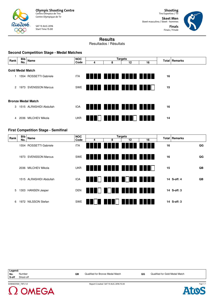

SAT 13 AUG 2016 Start Time 15:00

**Shooting** Tiro Esportivo / Tir

**Skeet Men** Skeet masculino / Skeet - hommes **Finals** Finais / Finale



# **Results**

Resultados / Résultats

#### **Second Competition Stage - Medal Matches**

| Rank                    | <b>Bib</b> | Name                      | <b>NOC</b> |                          | <b>Targets</b> |            | Total   Remarks |    |  |
|-------------------------|------------|---------------------------|------------|--------------------------|----------------|------------|-----------------|----|--|
|                         | No.        |                           | Code       | 4                        | 8              | 12         | 16              |    |  |
|                         |            |                           |            |                          |                |            |                 |    |  |
| <b>Gold Medal Match</b> |            |                           |            |                          |                |            |                 |    |  |
|                         |            | 1554 ROSSETTI Gabriele    | <b>ITA</b> |                          |                |            | <u> Hill Ha</u> | 16 |  |
| $\mathcal{P}$           |            | 1973 SVENSSON Marcus      | SWE        |                          |                |            | a katika Ma     | 15 |  |
|                         |            | <b>Bronze Medal Match</b> |            |                          |                |            |                 |    |  |
| $\mathcal{S}$           |            | 1515 ALRASHIDI Abdullah   | <b>IOA</b> | <b>FINDINAL PROPERTY</b> |                | anna Araol |                 | 16 |  |
| 4                       |            | 2036 MILCHEV Mikola       | <b>UKR</b> |                          |                |            | <u> Hill</u>    | 14 |  |

#### **First Competition Stage - Semifinal**

| Rank | Bib | Name                    | <b>NOC</b> |   |   | <b>Targets</b>       |    | Total   Remarks |                   |  |
|------|-----|-------------------------|------------|---|---|----------------------|----|-----------------|-------------------|--|
|      | No. |                         | Code       | 4 | 8 | 12                   | 16 |                 |                   |  |
|      |     | 1554 ROSSETTI Gabriele  | <b>ITA</b> |   |   |                      |    | 16              | QG                |  |
|      |     | 1973 SVENSSON Marcus    | SWE        |   |   | _______________      |    | 16              | QG                |  |
|      |     | 2036 MILCHEV Mikola     | <b>UKR</b> |   |   |                      |    | 15              | QB                |  |
|      |     | 1515 ALRASHIDI Abdullah | <b>IOA</b> |   |   | u dhe dhe e          |    |                 | 14 S-off: 4<br>QB |  |
| 5    |     | 1303 HANSEN Jesper      | <b>DEN</b> |   |   | <u>a kata ing Pa</u> |    |                 | 14 S-off: 3       |  |
| ĥ    |     | 1972 NILSSON Stefan     | SWE        |   |   |                      |    |                 | 14 S-off: 3       |  |